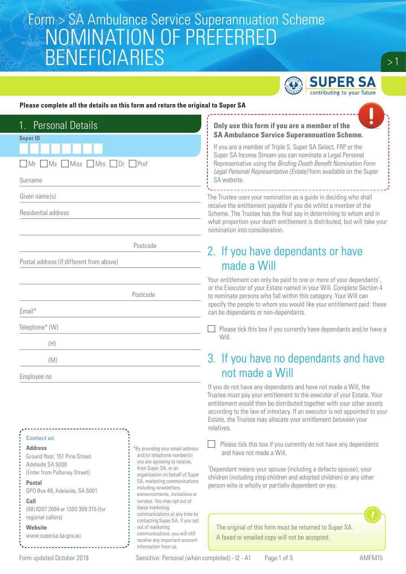# Form > SA Ambulance Service Superannuation Scheme<br>A CNOMINIATIONI OF DREEERRED NOMINATION OF PREFERRED BENEFICIARIES



#### **Please complete all the details on this form and return the original to Super SA**

| 1. Personal Details                      |
|------------------------------------------|
| <b>Super ID</b>                          |
| Ms Miss Mrs Dr Prof<br>Mr                |
| Surname                                  |
| Given name(s)                            |
| Residential address                      |
|                                          |
| Postcode                                 |
| Postal address (if different from above) |
|                                          |
| Postcode                                 |
| Email*                                   |
| Telephone* (W)                           |
| (H)                                      |
| (M)                                      |
| Employee no                              |
|                                          |

#### **Contact us**

**Address** Ground floor, 151 Pirie Street Adelaide SA 5000 (Enter from Pulteney Street)

#### **Postal**  GPO Box 48, Adelaide, SA 5001

**Call**  (08) 8207 2094 or 1300 369 315 (for regional callers)

## **Website**

www.supersa.sa.gov.au

\*By providing your email address and/or telephone number(s) you are agreeing to receive, from Super SA, or an organisation on behalf of Super SA, marketing communications including newsletters, announcements, invitations or surveys. You may opt out of these marketing communications at any time by contacting Super SA. If you opt out of marketing communications, you will still receive any important account information from us.

### **Only use this form if you are a member of the SA Ambulance Service Superannuation Scheme.**

If you are a member of Triple S, Super SA Select, FRP or the Super SA Income Stream you can nominate a Legal Personal Representative using the *Binding Death Benefit Nomination Form Legal Personal Representative (Estate)* form available on the Super SA website.

The Trustee uses your nomination as a guide in deciding who shall receive the entitlement payable if you die whilst a member of the Scheme. The Trustee has the final say in determining to whom and in what proportion your death entitlement is distributed, but will take your nomination into consideration.

### 2. If you have dependants or have made a Will

Your entitlement can only be paid to one or more of your dependants<sup>1</sup>, or the Executor of your Estate named in your Will. Complete Section 4 to nominate persons who fall within this category. Your Will can specify the people to whom you would like your entitlement paid: these can be dependants or non-dependants.

Please tick this box if you currently have dependants and/or have a  $\Box$ **Will** 

## 3. If you have no dependants and have not made a Will

If you do not have any dependants and have not made a Will, the Trustee must pay your entitlement to the executor of your Estate. Your entitlement would then be distributed together with your other assets according to the law of intestacy. If an executor is not appointed to your Estate, the Trustee may allocate your entitlement between your relatives.

 $\Box$ Please tick this box if you currently do not have any dependants and have not made a Will.

1 Dependant means your spouse (including a defacto spouse), your children (including step children and adopted children) or any other person who is wholly or partially dependent on you.



The original of this form must be returned to Super SA. A faxed or emailed copy will not be accepted.

 $>1$ 

Form updated October 2019 Sensitive: Personal (when completed) - I2 - A1 Page 1 of 3 AMFM15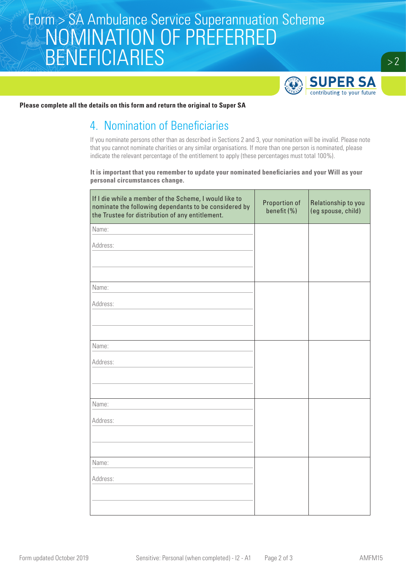# Form > SA Ambulance Service Superannuation Scheme<br>A CNOMINIATIONI OF DREEERRED NOMINATION OF PREFERRED BENEFICIARIES



**Please complete all the details on this form and return the original to Super SA**

## 4. Nomination of Beneficiaries

If you nominate persons other than as described in Sections 2 and 3, your nomination will be invalid. Please note that you cannot nominate charities or any similar organisations. If more than one person is nominated, please indicate the relevant percentage of the entitlement to apply (these percentages must total 100%).

**It is important that you remember to update your nominated beneficiaries and your Will as your personal circumstances change.**

| If I die while a member of the Scheme, I would like to<br>nominate the following dependants to be considered by<br>the Trustee for distribution of any entitlement. | Proportion of<br>benefit (%) | Relationship to you<br>(eg spouse, child) |
|---------------------------------------------------------------------------------------------------------------------------------------------------------------------|------------------------------|-------------------------------------------|
| Name:                                                                                                                                                               |                              |                                           |
| Address:                                                                                                                                                            |                              |                                           |
|                                                                                                                                                                     |                              |                                           |
| Name:                                                                                                                                                               |                              |                                           |
| Address:                                                                                                                                                            |                              |                                           |
|                                                                                                                                                                     |                              |                                           |
| Name:                                                                                                                                                               |                              |                                           |
| Address:                                                                                                                                                            |                              |                                           |
|                                                                                                                                                                     |                              |                                           |
| Name:                                                                                                                                                               |                              |                                           |
| Address:                                                                                                                                                            |                              |                                           |
|                                                                                                                                                                     |                              |                                           |
|                                                                                                                                                                     |                              |                                           |
| Name:                                                                                                                                                               |                              |                                           |
| Address:                                                                                                                                                            |                              |                                           |
|                                                                                                                                                                     |                              |                                           |
|                                                                                                                                                                     |                              |                                           |